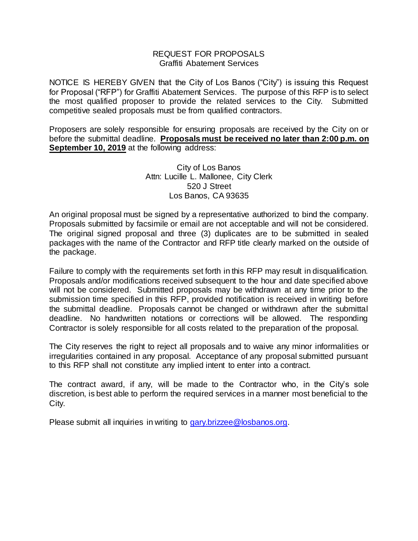#### REQUEST FOR PROPOSALS Graffiti Abatement Services

NOTICE IS HEREBY GIVEN that the City of Los Banos ("City") is issuing this Request for Proposal ("RFP") for Graffiti Abatement Services. The purpose of this RFP is to select the most qualified proposer to provide the related services to the City. Submitted competitive sealed proposals must be from qualified contractors.

Proposers are solely responsible for ensuring proposals are received by the City on or before the submittal deadline. **Proposals must be received no later than 2:00 p.m. on September 10, 2019** at the following address:

# City of Los Banos Attn: Lucille L. Mallonee, City Clerk 520 J Street Los Banos, CA 93635

An original proposal must be signed by a representative authorized to bind the company. Proposals submitted by facsimile or email are not acceptable and will not be considered. The original signed proposal and three (3) duplicates are to be submitted in sealed packages with the name of the Contractor and RFP title clearly marked on the outside of the package.

Failure to comply with the requirements set forth in this RFP may result in disqualification. Proposals and/or modifications received subsequent to the hour and date specified above will not be considered. Submitted proposals may be withdrawn at any time prior to the submission time specified in this RFP, provided notification is received in writing before the submittal deadline. Proposals cannot be changed or withdrawn after the submittal deadline. No handwritten notations or corrections will be allowed. The responding Contractor is solely responsible for all costs related to the preparation of the proposal.

The City reserves the right to reject all proposals and to waive any minor informalities or irregularities contained in any proposal. Acceptance of any proposal submitted pursuant to this RFP shall not constitute any implied intent to enter into a contract.

The contract award, if any, will be made to the Contractor who, in the City's sole discretion, is best able to perform the required services in a manner most beneficial to the City.

Please submit all inquiries in writing to [gary.brizzee@losbanos.org.](mailto:gary.brizzee@losbanos.org)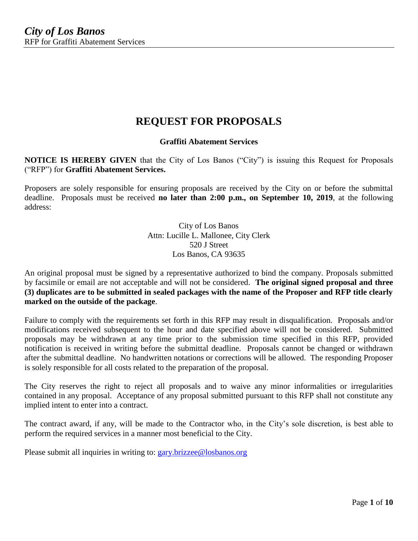# **REQUEST FOR PROPOSALS**

# **Graffiti Abatement Services**

**NOTICE IS HEREBY GIVEN** that the City of Los Banos ("City") is issuing this Request for Proposals ("RFP") for **Graffiti Abatement Services.**

Proposers are solely responsible for ensuring proposals are received by the City on or before the submittal deadline. Proposals must be received **no later than 2:00 p.m., on September 10, 2019**, at the following address:

> City of Los Banos Attn: Lucille L. Mallonee, City Clerk 520 J Street Los Banos, CA 93635

An original proposal must be signed by a representative authorized to bind the company. Proposals submitted by facsimile or email are not acceptable and will not be considered. **The original signed proposal and three (3) duplicates are to be submitted in sealed packages with the name of the Proposer and RFP title clearly marked on the outside of the package**.

Failure to comply with the requirements set forth in this RFP may result in disqualification. Proposals and/or modifications received subsequent to the hour and date specified above will not be considered. Submitted proposals may be withdrawn at any time prior to the submission time specified in this RFP, provided notification is received in writing before the submittal deadline. Proposals cannot be changed or withdrawn after the submittal deadline. No handwritten notations or corrections will be allowed. The responding Proposer is solely responsible for all costs related to the preparation of the proposal.

The City reserves the right to reject all proposals and to waive any minor informalities or irregularities contained in any proposal. Acceptance of any proposal submitted pursuant to this RFP shall not constitute any implied intent to enter into a contract.

The contract award, if any, will be made to the Contractor who, in the City's sole discretion, is best able to perform the required services in a manner most beneficial to the City.

Please submit all inquiries in writing to: [gary.brizzee@losbanos.org](mailto:gary.brizzee@losbanos.org)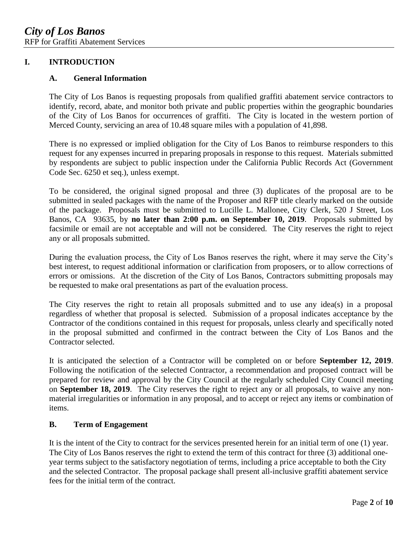# **I. INTRODUCTION**

#### **A. General Information**

The City of Los Banos is requesting proposals from qualified graffiti abatement service contractors to identify, record, abate, and monitor both private and public properties within the geographic boundaries of the City of Los Banos for occurrences of graffiti. The City is located in the western portion of Merced County, servicing an area of 10.48 square miles with a population of 41,898.

There is no expressed or implied obligation for the City of Los Banos to reimburse responders to this request for any expenses incurred in preparing proposals in response to this request. Materials submitted by respondents are subject to public inspection under the California Public Records Act (Government Code Sec. 6250 et seq.), unless exempt.

To be considered, the original signed proposal and three (3) duplicates of the proposal are to be submitted in sealed packages with the name of the Proposer and RFP title clearly marked on the outside of the package. Proposals must be submitted to Lucille L. Mallonee, City Clerk, 520 J Street, Los Banos, CA 93635, by **no later than 2:00 p.m. on September 10, 2019**. Proposals submitted by facsimile or email are not acceptable and will not be considered. The City reserves the right to reject any or all proposals submitted.

During the evaluation process, the City of Los Banos reserves the right, where it may serve the City's best interest, to request additional information or clarification from proposers, or to allow corrections of errors or omissions. At the discretion of the City of Los Banos, Contractors submitting proposals may be requested to make oral presentations as part of the evaluation process.

The City reserves the right to retain all proposals submitted and to use any idea(s) in a proposal regardless of whether that proposal is selected. Submission of a proposal indicates acceptance by the Contractor of the conditions contained in this request for proposals, unless clearly and specifically noted in the proposal submitted and confirmed in the contract between the City of Los Banos and the Contractor selected.

It is anticipated the selection of a Contractor will be completed on or before **September 12, 2019**. Following the notification of the selected Contractor, a recommendation and proposed contract will be prepared for review and approval by the City Council at the regularly scheduled City Council meeting on **September 18, 2019**. The City reserves the right to reject any or all proposals, to waive any nonmaterial irregularities or information in any proposal, and to accept or reject any items or combination of items.

# **B. Term of Engagement**

It is the intent of the City to contract for the services presented herein for an initial term of one (1) year. The City of Los Banos reserves the right to extend the term of this contract for three (3) additional oneyear terms subject to the satisfactory negotiation of terms, including a price acceptable to both the City and the selected Contractor. The proposal package shall present all-inclusive graffiti abatement service fees for the initial term of the contract.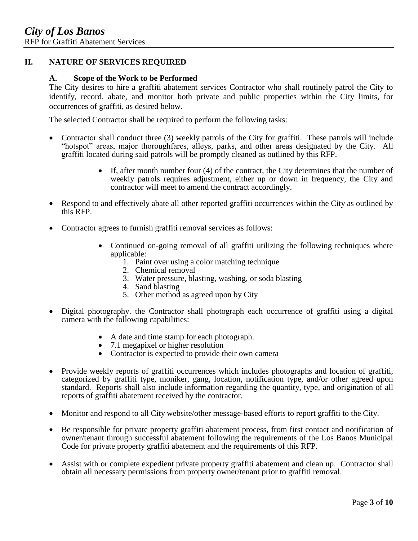# **II. NATURE OF SERVICES REQUIRED**

#### **A. Scope of the Work to be Performed**

The City desires to hire a graffiti abatement services Contractor who shall routinely patrol the City to identify, record, abate, and monitor both private and public properties within the City limits, for occurrences of graffiti, as desired below.

The selected Contractor shall be required to perform the following tasks:

- Contractor shall conduct three (3) weekly patrols of the City for graffiti. These patrols will include "hotspot" areas, major thoroughfares, alleys, parks, and other areas designated by the City. All graffiti located during said patrols will be promptly cleaned as outlined by this RFP.
	- If, after month number four (4) of the contract, the City determines that the number of weekly patrols requires adjustment, either up or down in frequency, the City and contractor will meet to amend the contract accordingly.
- Respond to and effectively abate all other reported graffiti occurrences within the City as outlined by this RFP.
- Contractor agrees to furnish graffiti removal services as follows:
	- Continued on-going removal of all graffiti utilizing the following techniques where applicable:
		- 1. Paint over using a color matching technique
		- 2. Chemical removal
		- 3. Water pressure, blasting, washing, or soda blasting
		- 4. Sand blasting
		- 5. Other method as agreed upon by City
- Digital photography. the Contractor shall photograph each occurrence of graffiti using a digital camera with the following capabilities:
	- A date and time stamp for each photograph.
	- 7.1 megapixel or higher resolution
	- Contractor is expected to provide their own camera
- Provide weekly reports of graffiti occurrences which includes photographs and location of graffiti, categorized by graffiti type, moniker, gang, location, notification type, and/or other agreed upon standard. Reports shall also include information regarding the quantity, type, and origination of all reports of graffiti abatement received by the contractor.
- Monitor and respond to all City website/other message-based efforts to report graffiti to the City.
- Be responsible for private property graffiti abatement process, from first contact and notification of owner/tenant through successful abatement following the requirements of the Los Banos Municipal Code for private property graffiti abatement and the requirements of this RFP.
- Assist with or complete expedient private property graffiti abatement and clean up. Contractor shall obtain all necessary permissions from property owner/tenant prior to graffiti removal.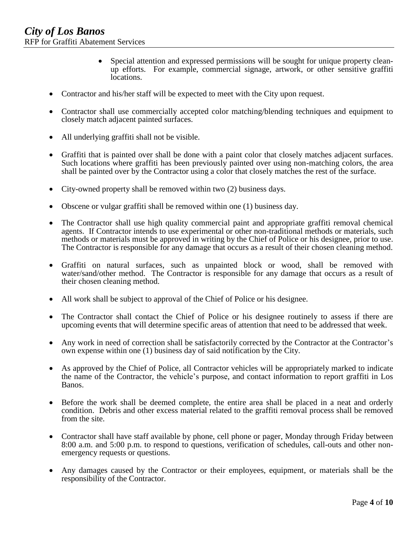- Special attention and expressed permissions will be sought for unique property cleanup efforts. For example, commercial signage, artwork, or other sensitive graffiti locations.
- Contractor and his/her staff will be expected to meet with the City upon request.
- Contractor shall use commercially accepted color matching/blending techniques and equipment to closely match adjacent painted surfaces.
- All underlying graffiti shall not be visible.
- Graffiti that is painted over shall be done with a paint color that closely matches adjacent surfaces. Such locations where graffiti has been previously painted over using non-matching colors, the area shall be painted over by the Contractor using a color that closely matches the rest of the surface.
- City-owned property shall be removed within two (2) business days.
- Obscene or vulgar graffiti shall be removed within one (1) business day.
- The Contractor shall use high quality commercial paint and appropriate graffiti removal chemical agents. If Contractor intends to use experimental or other non-traditional methods or materials, such methods or materials must be approved in writing by the Chief of Police or his designee, prior to use. The Contractor is responsible for any damage that occurs as a result of their chosen cleaning method.
- Graffiti on natural surfaces, such as unpainted block or wood, shall be removed with water/sand/other method. The Contractor is responsible for any damage that occurs as a result of their chosen cleaning method.
- All work shall be subject to approval of the Chief of Police or his designee.
- The Contractor shall contact the Chief of Police or his designee routinely to assess if there are upcoming events that will determine specific areas of attention that need to be addressed that week.
- Any work in need of correction shall be satisfactorily corrected by the Contractor at the Contractor's own expense within one (1) business day of said notification by the City.
- As approved by the Chief of Police, all Contractor vehicles will be appropriately marked to indicate the name of the Contractor, the vehicle's purpose, and contact information to report graffiti in Los Banos.
- Before the work shall be deemed complete, the entire area shall be placed in a neat and orderly condition. Debris and other excess material related to the graffiti removal process shall be removed from the site.
- Contractor shall have staff available by phone, cell phone or pager, Monday through Friday between 8:00 a.m. and 5:00 p.m. to respond to questions, verification of schedules, call-outs and other nonemergency requests or questions.
- Any damages caused by the Contractor or their employees, equipment, or materials shall be the responsibility of the Contractor.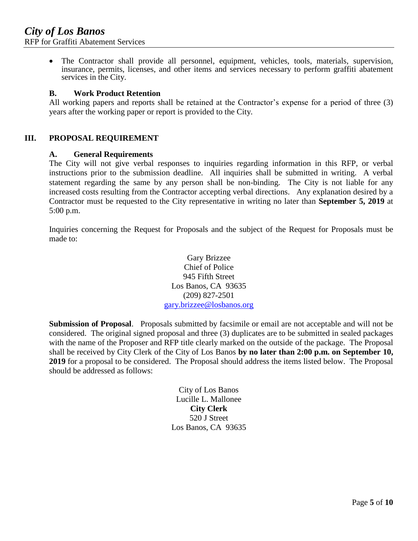The Contractor shall provide all personnel, equipment, vehicles, tools, materials, supervision, insurance, permits, licenses, and other items and services necessary to perform graffiti abatement services in the City.

#### **B. Work Product Retention**

All working papers and reports shall be retained at the Contractor's expense for a period of three (3) years after the working paper or report is provided to the City.

# **III. PROPOSAL REQUIREMENT**

#### **A. General Requirements**

The City will not give verbal responses to inquiries regarding information in this RFP, or verbal instructions prior to the submission deadline. All inquiries shall be submitted in writing. A verbal statement regarding the same by any person shall be non-binding. The City is not liable for any increased costs resulting from the Contractor accepting verbal directions. Any explanation desired by a Contractor must be requested to the City representative in writing no later than **September 5, 2019** at 5:00 p.m.

Inquiries concerning the Request for Proposals and the subject of the Request for Proposals must be made to:

> Gary Brizzee Chief of Police 945 Fifth Street Los Banos, CA 93635 (209) 827-2501 [gary.brizzee@losbanos.org](mailto:sonya.williams@losbanos.org)

**Submission of Proposal**. Proposals submitted by facsimile or email are not acceptable and will not be considered. The original signed proposal and three (3) duplicates are to be submitted in sealed packages with the name of the Proposer and RFP title clearly marked on the outside of the package. The Proposal shall be received by City Clerk of the City of Los Banos **by no later than 2:00 p.m. on September 10, 2019** for a proposal to be considered. The Proposal should address the items listed below. The Proposal should be addressed as follows:

> City of Los Banos Lucille L. Mallonee **City Clerk** 520 J Street Los Banos, CA 93635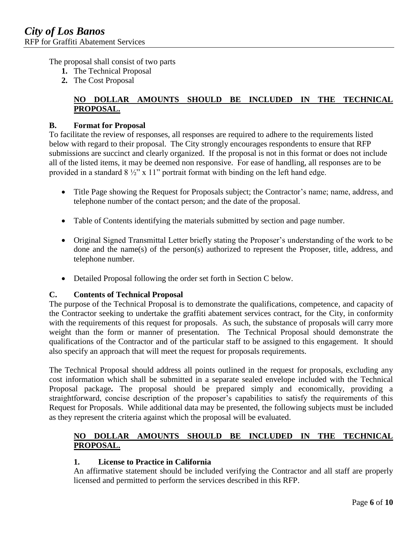The proposal shall consist of two parts

- **1.** The Technical Proposal
- **2.** The Cost Proposal

# **NO DOLLAR AMOUNTS SHOULD BE INCLUDED IN THE TECHNICAL PROPOSAL.**

# **B. Format for Proposal**

To facilitate the review of responses, all responses are required to adhere to the requirements listed below with regard to their proposal. The City strongly encourages respondents to ensure that RFP submissions are succinct and clearly organized. If the proposal is not in this format or does not include all of the listed items, it may be deemed non responsive. For ease of handling, all responses are to be provided in a standard  $8\frac{1}{2}$ " x 11" portrait format with binding on the left hand edge.

- Title Page showing the Request for Proposals subject; the Contractor's name; name, address, and telephone number of the contact person; and the date of the proposal.
- Table of Contents identifying the materials submitted by section and page number.
- Original Signed Transmittal Letter briefly stating the Proposer's understanding of the work to be done and the name(s) of the person(s) authorized to represent the Proposer, title, address, and telephone number.
- Detailed Proposal following the order set forth in Section C below.

# **C. Contents of Technical Proposal**

The purpose of the Technical Proposal is to demonstrate the qualifications, competence, and capacity of the Contractor seeking to undertake the graffiti abatement services contract, for the City, in conformity with the requirements of this request for proposals. As such, the substance of proposals will carry more weight than the form or manner of presentation. The Technical Proposal should demonstrate the qualifications of the Contractor and of the particular staff to be assigned to this engagement. It should also specify an approach that will meet the request for proposals requirements.

The Technical Proposal should address all points outlined in the request for proposals, excluding any cost information which shall be submitted in a separate sealed envelope included with the Technical Proposal package**.** The proposal should be prepared simply and economically, providing a straightforward, concise description of the proposer's capabilities to satisfy the requirements of this Request for Proposals. While additional data may be presented, the following subjects must be included as they represent the criteria against which the proposal will be evaluated.

# **NO DOLLAR AMOUNTS SHOULD BE INCLUDED IN THE TECHNICAL PROPOSAL.**

#### **1. License to Practice in California**

An affirmative statement should be included verifying the Contractor and all staff are properly licensed and permitted to perform the services described in this RFP.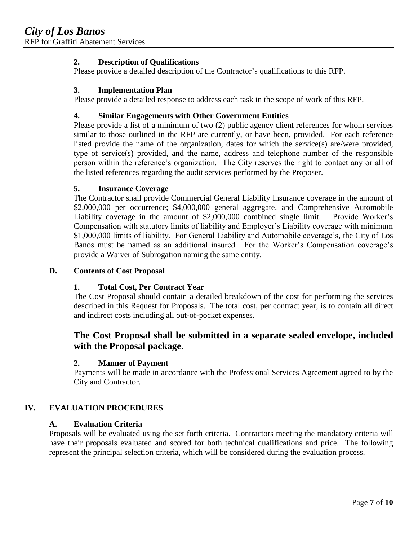# **2. Description of Qualifications**

Please provide a detailed description of the Contractor's qualifications to this RFP.

# **3. Implementation Plan**

Please provide a detailed response to address each task in the scope of work of this RFP.

# **4. Similar Engagements with Other Government Entities**

Please provide a list of a minimum of two (2) public agency client references for whom services similar to those outlined in the RFP are currently, or have been, provided. For each reference listed provide the name of the organization, dates for which the service(s) are/were provided, type of service(s) provided, and the name, address and telephone number of the responsible person within the reference's organization. The City reserves the right to contact any or all of the listed references regarding the audit services performed by the Proposer.

# **5. Insurance Coverage**

The Contractor shall provide Commercial General Liability Insurance coverage in the amount of \$2,000,000 per occurrence; \$4,000,000 general aggregate, and Comprehensive Automobile Liability coverage in the amount of \$2,000,000 combined single limit. Provide Worker's Compensation with statutory limits of liability and Employer's Liability coverage with minimum \$1,000,000 limits of liability. For General Liability and Automobile coverage's, the City of Los Banos must be named as an additional insured. For the Worker's Compensation coverage's provide a Waiver of Subrogation naming the same entity.

#### **D. Contents of Cost Proposal**

# **1. Total Cost, Per Contract Year**

The Cost Proposal should contain a detailed breakdown of the cost for performing the services described in this Request for Proposals. The total cost, per contract year, is to contain all direct and indirect costs including all out-of-pocket expenses.

# **The Cost Proposal shall be submitted in a separate sealed envelope, included with the Proposal package.**

#### **2. Manner of Payment**

Payments will be made in accordance with the Professional Services Agreement agreed to by the City and Contractor.

# **IV. EVALUATION PROCEDURES**

#### **A. Evaluation Criteria**

Proposals will be evaluated using the set forth criteria. Contractors meeting the mandatory criteria will have their proposals evaluated and scored for both technical qualifications and price. The following represent the principal selection criteria, which will be considered during the evaluation process.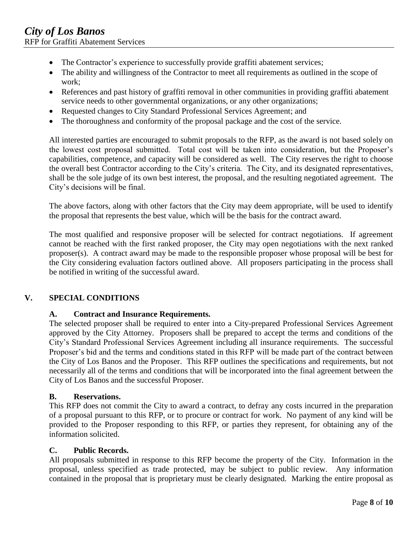- The Contractor's experience to successfully provide graffiti abatement services;
- The ability and willingness of the Contractor to meet all requirements as outlined in the scope of work;
- References and past history of graffiti removal in other communities in providing graffiti abatement service needs to other governmental organizations, or any other organizations;
- Requested changes to City Standard Professional Services Agreement; and
- The thoroughness and conformity of the proposal package and the cost of the service.

All interested parties are encouraged to submit proposals to the RFP, as the award is not based solely on the lowest cost proposal submitted. Total cost will be taken into consideration, but the Proposer's capabilities, competence, and capacity will be considered as well. The City reserves the right to choose the overall best Contractor according to the City's criteria. The City, and its designated representatives, shall be the sole judge of its own best interest, the proposal, and the resulting negotiated agreement. The City's decisions will be final.

The above factors, along with other factors that the City may deem appropriate, will be used to identify the proposal that represents the best value, which will be the basis for the contract award.

The most qualified and responsive proposer will be selected for contract negotiations. If agreement cannot be reached with the first ranked proposer, the City may open negotiations with the next ranked proposer(s). A contract award may be made to the responsible proposer whose proposal will be best for the City considering evaluation factors outlined above. All proposers participating in the process shall be notified in writing of the successful award.

#### **V. SPECIAL CONDITIONS**

#### **A. Contract and Insurance Requirements.**

The selected proposer shall be required to enter into a City-prepared Professional Services Agreement approved by the City Attorney. Proposers shall be prepared to accept the terms and conditions of the City's Standard Professional Services Agreement including all insurance requirements. The successful Proposer's bid and the terms and conditions stated in this RFP will be made part of the contract between the City of Los Banos and the Proposer. This RFP outlines the specifications and requirements, but not necessarily all of the terms and conditions that will be incorporated into the final agreement between the City of Los Banos and the successful Proposer.

#### **B. Reservations.**

This RFP does not commit the City to award a contract, to defray any costs incurred in the preparation of a proposal pursuant to this RFP, or to procure or contract for work. No payment of any kind will be provided to the Proposer responding to this RFP, or parties they represent, for obtaining any of the information solicited.

#### **C. Public Records.**

All proposals submitted in response to this RFP become the property of the City. Information in the proposal, unless specified as trade protected, may be subject to public review. Any information contained in the proposal that is proprietary must be clearly designated. Marking the entire proposal as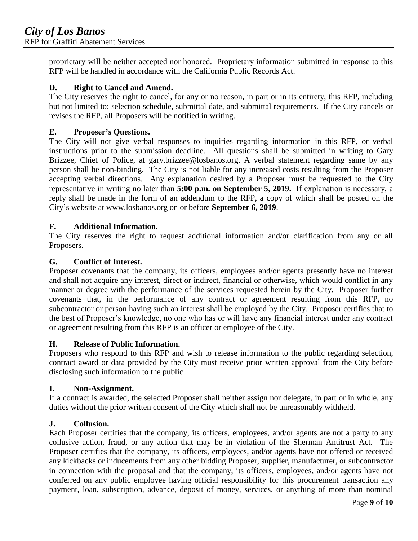proprietary will be neither accepted nor honored. Proprietary information submitted in response to this RFP will be handled in accordance with the California Public Records Act.

# **D. Right to Cancel and Amend.**

The City reserves the right to cancel, for any or no reason, in part or in its entirety, this RFP, including but not limited to: selection schedule, submittal date, and submittal requirements. If the City cancels or revises the RFP, all Proposers will be notified in writing.

#### **E. Proposer's Questions.**

The City will not give verbal responses to inquiries regarding information in this RFP, or verbal instructions prior to the submission deadline. All questions shall be submitted in writing to Gary Brizzee, Chief of Police, at gary.brizzee@losbanos.org. A verbal statement regarding same by any person shall be non-binding. The City is not liable for any increased costs resulting from the Proposer accepting verbal directions. Any explanation desired by a Proposer must be requested to the City representative in writing no later than **5:00 p.m. on September 5, 2019.** If explanation is necessary, a reply shall be made in the form of an addendum to the RFP, a copy of which shall be posted on the City's website at www.losbanos.org on or before **September 6, 2019**.

# **F. Additional Information.**

The City reserves the right to request additional information and/or clarification from any or all Proposers.

# **G. Conflict of Interest.**

Proposer covenants that the company, its officers, employees and/or agents presently have no interest and shall not acquire any interest, direct or indirect, financial or otherwise, which would conflict in any manner or degree with the performance of the services requested herein by the City. Proposer further covenants that, in the performance of any contract or agreement resulting from this RFP, no subcontractor or person having such an interest shall be employed by the City. Proposer certifies that to the best of Proposer's knowledge, no one who has or will have any financial interest under any contract or agreement resulting from this RFP is an officer or employee of the City.

#### **H. Release of Public Information.**

Proposers who respond to this RFP and wish to release information to the public regarding selection, contract award or data provided by the City must receive prior written approval from the City before disclosing such information to the public.

#### **I. Non-Assignment.**

If a contract is awarded, the selected Proposer shall neither assign nor delegate, in part or in whole, any duties without the prior written consent of the City which shall not be unreasonably withheld.

#### **J. Collusion.**

Each Proposer certifies that the company, its officers, employees, and/or agents are not a party to any collusive action, fraud, or any action that may be in violation of the Sherman Antitrust Act. The Proposer certifies that the company, its officers, employees, and/or agents have not offered or received any kickbacks or inducements from any other bidding Proposer, supplier, manufacturer, or subcontractor in connection with the proposal and that the company, its officers, employees, and/or agents have not conferred on any public employee having official responsibility for this procurement transaction any payment, loan, subscription, advance, deposit of money, services, or anything of more than nominal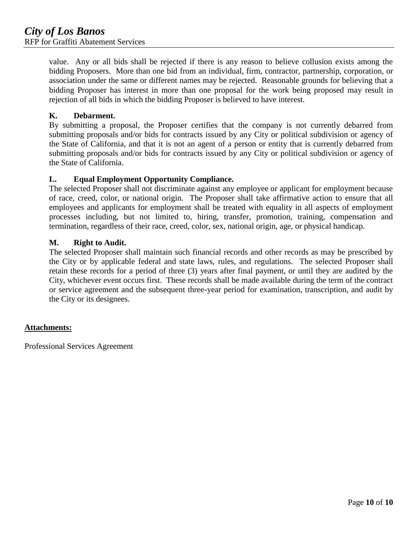value. Any or all bids shall be rejected if there is any reason to believe collusion exists among the bidding Proposers. More than one bid from an individual, firm, contractor, partnership, corporation, or association under the same or different names may be rejected. Reasonable grounds for believing that a bidding Proposer has interest in more than one proposal for the work being proposed may result in rejection of all bids in which the bidding Proposer is believed to have interest.

#### **K. Debarment.**

By submitting a proposal, the Proposer certifies that the company is not currently debarred from submitting proposals and/or bids for contracts issued by any City or political subdivision or agency of the State of California, and that it is not an agent of a person or entity that is currently debarred from submitting proposals and/or bids for contracts issued by any City or political subdivision or agency of the State of California.

#### **L. Equal Employment Opportunity Compliance.**

The selected Proposer shall not discriminate against any employee or applicant for employment because of race, creed, color, or national origin. The Proposer shall take affirmative action to ensure that all employees and applicants for employment shall be treated with equality in all aspects of employment processes including, but not limited to, hiring, transfer, promotion, training, compensation and termination, regardless of their race, creed, color, sex, national origin, age, or physical handicap.

# **M. Right to Audit.**

The selected Proposer shall maintain such financial records and other records as may be prescribed by the City or by applicable federal and state laws, rules, and regulations. The selected Proposer shall retain these records for a period of three (3) years after final payment, or until they are audited by the City, whichever event occurs first. These records shall be made available during the term of the contract or service agreement and the subsequent three-year period for examination, transcription, and audit by the City or its designees.

#### **Attachments:**

Professional Services Agreement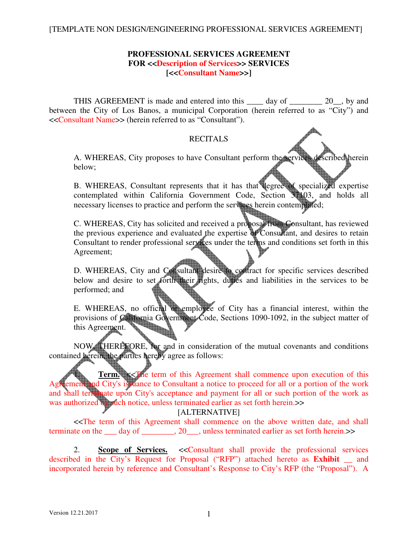# **PROFESSIONAL SERVICES AGREEMENT FOR <<Description of Services>> SERVICES [<<Consultant Name>>]**

THIS AGREEMENT is made and entered into this \_\_\_\_ day of \_\_\_\_\_\_\_\_ 20\_\_, by and between the City of Los Banos, a municipal Corporation (herein referred to as "City") and <<Consultant Name>> (herein referred to as "Consultant").

# RECITALS

A. WHEREAS, City proposes to have Consultant perform the services described herein below;

B. WHEREAS, Consultant represents that it has that degree of specialized expertise contemplated within California Government Code, Section 37103, and holds all necessary licenses to practice and perform the services herein contemplated;

C. WHEREAS, City has solicited and received a proposal from Consultant, has reviewed the previous experience and evaluated the expertise of Consultant, and desires to retain Consultant to render professional services under the terms and conditions set forth in this Agreement;

D. WHEREAS, City and Consultant desire to contract for specific services described below and desire to set forth their rights, duties and liabilities in the services to be performed; and

E. WHEREAS, no official or employee of City has a financial interest, within the provisions of California Government Code, Sections 1090-1092, in the subject matter of this A greement. this Agreement.

NOW, THEREFORE, for and in consideration of the mutual covenants and conditions contained herein, the parties hereby agree as follows:

**Term.**  $\leq$  The term of this Agreement shall commence upon execution of this ement and City's issuance to Consultant a notice to proceed for all or a portion of the work and shall terminate upon City's acceptance and payment for all or such portion of the work as was authorized by such notice, unless terminated earlier as set forth herein.>>

# [ALTERNATIVE]

<<The term of this Agreement shall commence on the above written date, and shall terminate on the day of \_\_\_\_\_\_\_, 20\_\_\_, unless terminated earlier as set forth herein.>>

2. **Scope of Services.** <<Consultant shall provide the professional services described in the City's Request for Proposal ("RFP") attached hereto as **Exhibit \_\_** and incorporated herein by reference and Consultant's Response to City's RFP (the "Proposal"). A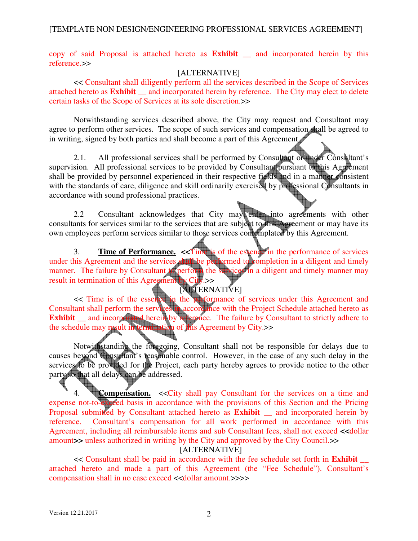copy of said Proposal is attached hereto as **Exhibit \_\_** and incorporated herein by this reference.>>

# [ALTERNATIVE]

<< Consultant shall diligently perform all the services described in the Scope of Services attached hereto as **Exhibit \_\_** and incorporated herein by reference. The City may elect to delete certain tasks of the Scope of Services at its sole discretion.>>

Notwithstanding services described above, the City may request and Consultant may agree to perform other services. The scope of such services and compensation shall be agreed to in writing, signed by both parties and shall become a part of this Agreement.

2.1. All professional services shall be performed by Consultant or under Consultant's supervision. All professional services to be provided by Consultant pursuant to this Agreement shall be provided by personnel experienced in their respective fields and in a manner consistent with the standards of care, diligence and skill ordinarily exercised by professional Consultants in accordance with sound professional practices.

2.2 Consultant acknowledges that City may enter into agreements with other consultants for services similar to the services that are subject to this Agreement or may have its own employees perform services similar to those services contemplated by this Agreement.

3. **Time of Performance. <<**Time is of the essence in the performance of services under this Agreement and the services shall be performed to completion in a diligent and timely manner. The failure by Consultant to perform the services in a diligent and timely manner may manner. The failure by Consultant to perform the result in termination of this Agreement by City.>>

# **[ALTERNATIVE]**

<< Time is of the essence in the performance of services under this Agreement and Consultant shall perform the services in accordance with the Project Schedule attached hereto as **Exhibit** <u>and incorporated herein</u> by reference. The failure by Consultant to strictly adhere to the schedule may result in termination of this Agreement by City.>>

Notwithstanding the foregoing, Consultant shall not be responsible for delays due to causes beyond Consultant's reasonable control. However, in the case of any such delay in the services to be provided for the Project, each party hereby agrees to provide notice to the other party so that all delays can be addressed.

4. **Compensation.** <<City shall pay Consultant for the services on a time and expense not-to-exceed basis in accordance with the provisions of this Section and the Pricing Proposal submitted by Consultant attached hereto as **Exhibit** and incorporated herein by reference. Consultant's compensation for all work performed in accordance with this Agreement, including all reimbursable items and sub Consultant fees, shall not exceed **<<**dollar amount**>>** unless authorized in writing by the City and approved by the City Council.>>

[ALTERNATIVE]

<< Consultant shall be paid in accordance with the fee schedule set forth in **Exhibit** \_\_ attached hereto and made a part of this Agreement (the "Fee Schedule"). Consultant's compensation shall in no case exceed <<dollar amount.>>>>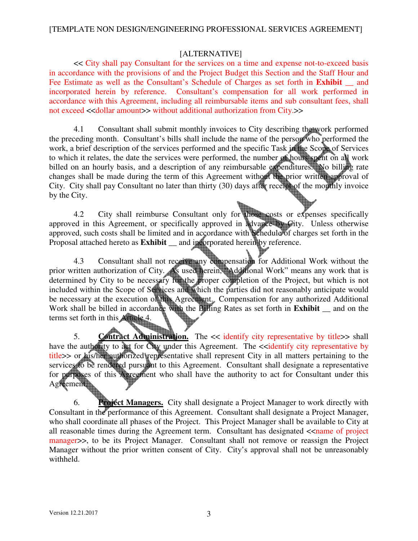# [ALTERNATIVE]

<< City shall pay Consultant for the services on a time and expense not-to-exceed basis in accordance with the provisions of and the Project Budget this Section and the Staff Hour and Fee Estimate as well as the Consultant's Schedule of Charges as set forth in **Exhibit** \_\_ and incorporated herein by reference. Consultant's compensation for all work performed in accordance with this Agreement, including all reimbursable items and sub consultant fees, shall not exceed <<dollar amount>> without additional authorization from City.>>

4.1 Consultant shall submit monthly invoices to City describing the work performed the preceding month. Consultant's bills shall include the name of the person who performed the work, a brief description of the services performed and the specific Task in the Scope of Services to which it relates, the date the services were performed, the number of hours spent on all work billed on an hourly basis, and a description of any reimbursable expenditures. No billing rate changes shall be made during the term of this Agreement without the prior written approval of City. City shall pay Consultant no later than thirty (30) days after receipt of the monthly invoice by the City.

4.2 City shall reimburse Consultant only for those costs or expenses specifically approved in this Agreement, or specifically approved in advance by City. Unless otherwise approved, such costs shall be limited and in accordance with Schedule of charges set forth in the Proposal attached hereto as **Exhibit \_\_** and incorporated herein by reference.

 4.3 Consultant shall not receive any compensation for Additional Work without the prior written authorization of City. As used herein, "Additional Work" means any work that is determined by City to be necessary for the proper completion of the Project, but which is not included within the Scope of Services and which the parties did not reasonably anticipate would be necessary at the execution of this Agreement. Compensation for any authorized Additional Work shall be billed in accordance with the Billing Rates as set forth in **Exhibit \_\_** and on the terms set forth in this Article 4.

5. **Contract Administration.** The << identify city representative by title>> shall have the authority to act for City under this Agreement. The <<identify city representative by title>> or his/her authorized representative shall represent City in all matters pertaining to the services to be rendered pursuant to this Agreement. Consultant shall designate a representative for purposes of this Agreement who shall have the authority to act for Consultant under this Agreement.

6. **Project Managers.** City shall designate a Project Manager to work directly with Consultant in the performance of this Agreement. Consultant shall designate a Project Manager, who shall coordinate all phases of the Project. This Project Manager shall be available to City at all reasonable times during the Agreement term. Consultant has designated  $\leq$ name of project manager>>, to be its Project Manager. Consultant shall not remove or reassign the Project Manager without the prior written consent of City. City's approval shall not be unreasonably withheld.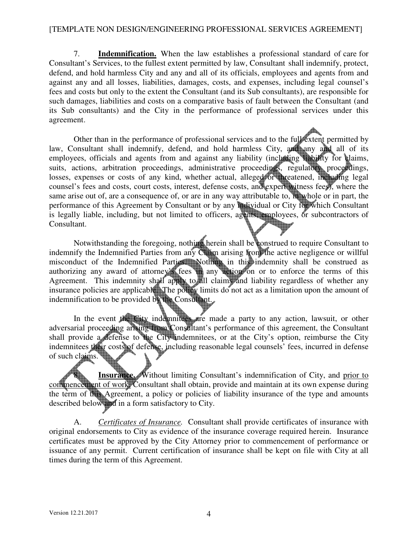7. **Indemnification.** When the law establishes a professional standard of care for Consultant's Services, to the fullest extent permitted by law, Consultant shall indemnify, protect, defend, and hold harmless City and any and all of its officials, employees and agents from and against any and all losses, liabilities, damages, costs, and expenses, including legal counsel's fees and costs but only to the extent the Consultant (and its Sub consultants), are responsible for such damages, liabilities and costs on a comparative basis of fault between the Consultant (and its Sub consultants) and the City in the performance of professional services under this agreement.

Other than in the performance of professional services and to the full extent permitted by law, Consultant shall indemnify, defend, and hold harmless City, and any and all of its employees, officials and agents from and against any liability (including liability for claims, suits, actions, arbitration proceedings, administrative proceedings, regulatory proceedings, losses, expenses or costs of any kind, whether actual, alleged or threatened, including legal counsel's fees and costs, court costs, interest, defense costs, and expert witness fees), where the same arise out of, are a consequence of, or are in any way attributable to, in whole or in part, the performance of this Agreement by Consultant or by any individual or City for which Consultant is legally liable, including, but not limited to officers, agents, employees, or subcontractors of Consultant.

 Notwithstanding the foregoing, nothing herein shall be construed to require Consultant to indemnify the Indemnified Parties from any Claim arising from the active negligence or willful misconduct of the Indemnified Parties. Nothing in this indemnity shall be construed as authorizing any award of attorney's fees in any action on or to enforce the terms of this Agreement. This indemnity shall apply to all claims and liability regardless of whether any insurance policies are applicable. The policy limits do not act as a limitation upon the amount of indemnification to be provided by the Consultant.

In the event the City indemnitees are made a party to any action, lawsuit, or other adversarial proceeding arising from Consultant's performance of this agreement, the Consultant shall provide a defense to the City indemnitees, or at the City's option, reimburse the City indemnitees their costs of defense, including reasonable legal counsels' fees, incurred in defense of such claims.

**Insurance.** Without limiting Consultant's indemnification of City, and prior to commencement of work, Consultant shall obtain, provide and maintain at its own expense during the term of this Agreement, a policy or policies of liability insurance of the type and amounts described below and in a form satisfactory to City.

 A. *Certificates of Insurance.* Consultant shall provide certificates of insurance with original endorsements to City as evidence of the insurance coverage required herein. Insurance certificates must be approved by the City Attorney prior to commencement of performance or issuance of any permit. Current certification of insurance shall be kept on file with City at all times during the term of this Agreement.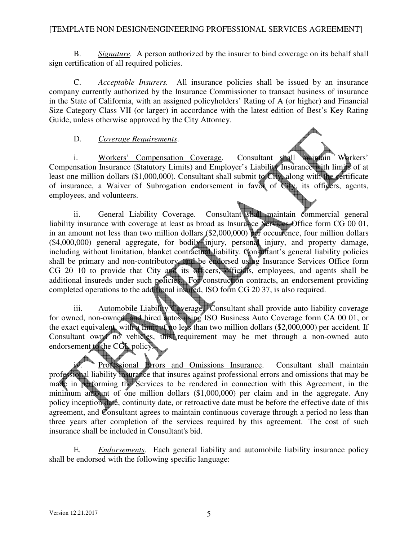B. *Signature.* A person authorized by the insurer to bind coverage on its behalf shall sign certification of all required policies.

 C. *Acceptable Insurers.* All insurance policies shall be issued by an insurance company currently authorized by the Insurance Commissioner to transact business of insurance in the State of California, with an assigned policyholders' Rating of A (or higher) and Financial Size Category Class VII (or larger) in accordance with the latest edition of Best's Key Rating Guide, unless otherwise approved by the City Attorney.

# D. *Coverage Requirements*.

 i. Workers' Compensation Coverage. Consultant shall maintain Workers' Compensation Insurance (Statutory Limits) and Employer's Liability Insurance with limits of at least one million dollars (\$1,000,000). Consultant shall submit to City, along with the certificate of insurance, a Waiver of Subrogation endorsement in favor of City, its officers, agents, employees, and volunteers.

ii. General Liability Coverage. Consultant shall maintain commercial general liability insurance with coverage at least as broad as Insurance Services Office form CG 00 01, in an amount not less than two million dollars (\$2,000,000) per occurrence, four million dollars (\$4,000,000) general aggregate, for bodily injury, personal injury, and property damage, including without limitation, blanket contractual liability. Consultant's general liability policies shall be primary and non-contributory, and be endorsed using Insurance Services Office form CG 20 10 to provide that City and its officers, officials, employees, and agents shall be additional insureds under such policies. For construction contracts, an endorsement providing completed operations to the additional insured, ISO form CG 20 37, is also required.

 iii. Automobile Liability Coverage. Consultant shall provide auto liability coverage for owned, non-owned, and hired autos using ISO Business Auto Coverage form CA 00 01, or the exact equivalent, with a limit of no less than two million dollars (\$2,000,000) per accident. If Consultant owns no vehicles, this requirement may be met through a non-owned auto endorsement to the CGL policy.

Professional Errors and Omissions Insurance. Consultant shall maintain professional liability insurance that insures against professional errors and omissions that may be made in performing the Services to be rendered in connection with this Agreement, in the minimum amount of one million dollars (\$1,000,000) per claim and in the aggregate. Any policy inception date, continuity date, or retroactive date must be before the effective date of this agreement, and Consultant agrees to maintain continuous coverage through a period no less than three years after completion of the services required by this agreement. The cost of such insurance shall be included in Consultant's bid.

 E. *Endorsements.* Each general liability and automobile liability insurance policy shall be endorsed with the following specific language: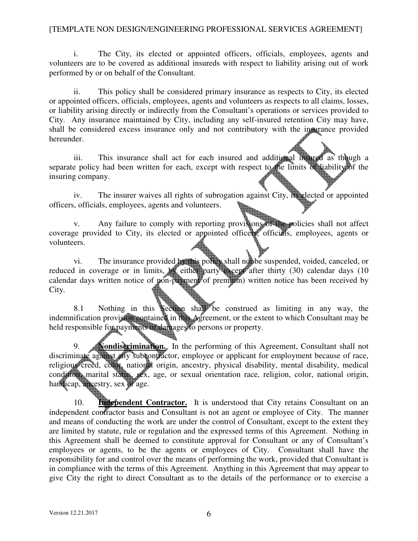i. The City, its elected or appointed officers, officials, employees, agents and volunteers are to be covered as additional insureds with respect to liability arising out of work performed by or on behalf of the Consultant.

 ii. This policy shall be considered primary insurance as respects to City, its elected or appointed officers, officials, employees, agents and volunteers as respects to all claims, losses, or liability arising directly or indirectly from the Consultant's operations or services provided to City. Any insurance maintained by City, including any self-insured retention City may have, shall be considered excess insurance only and not contributory with the insurance provided hereunder.

iii. This insurance shall act for each insured and additional insured as though a separate policy had been written for each, except with respect to the limits of liability of the insuring company.

 iv. The insurer waives all rights of subrogation against City, its elected or appointed officers, officials, employees, agents and volunteers.

v. Any failure to comply with reporting provisions of the policies shall not affect coverage provided to City, its elected or appointed officers, officials, employees, agents or volunteers.

vi. The insurance provided by this policy shall not be suspended, voided, canceled, or reduced in coverage or in limits, by either party except after thirty (30) calendar days (10 calendar days written notice of pon-payment of premium) written notice has been received by City.

8.1 Nothing in this Section shall be construed as limiting in any way, the indemnification provision contained in this Agreement, or the extent to which Consultant may be held responsible for payments of damages to persons or property.

9. **Nondiscrimination.** In the performing of this Agreement, Consultant shall not discriminate against any subcontractor, employee or applicant for employment because of race, religious creed, color, national origin, ancestry, physical disability, mental disability, medical condition, marital status, sex, age, or sexual orientation race, religion, color, national origin, handicap, ancestry, sex or age.

10. **Independent Contractor.** It is understood that City retains Consultant on an independent contractor basis and Consultant is not an agent or employee of City. The manner and means of conducting the work are under the control of Consultant, except to the extent they are limited by statute, rule or regulation and the expressed terms of this Agreement. Nothing in this Agreement shall be deemed to constitute approval for Consultant or any of Consultant's employees or agents, to be the agents or employees of City. Consultant shall have the responsibility for and control over the means of performing the work, provided that Consultant is in compliance with the terms of this Agreement. Anything in this Agreement that may appear to give City the right to direct Consultant as to the details of the performance or to exercise a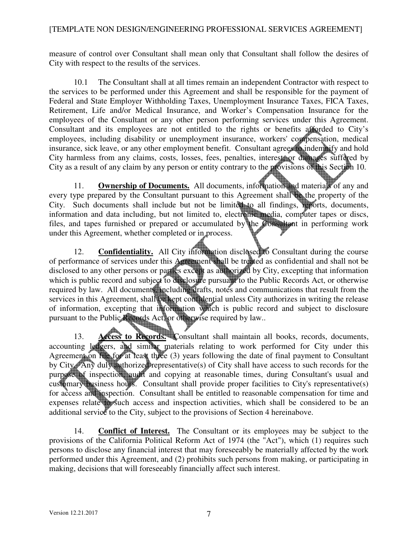measure of control over Consultant shall mean only that Consultant shall follow the desires of City with respect to the results of the services.

10.1 The Consultant shall at all times remain an independent Contractor with respect to the services to be performed under this Agreement and shall be responsible for the payment of Federal and State Employer Withholding Taxes, Unemployment Insurance Taxes, FICA Taxes, Retirement, Life and/or Medical Insurance, and Worker's Compensation Insurance for the employees of the Consultant or any other person performing services under this Agreement. Consultant and its employees are not entitled to the rights or benefits afforded to City's employees, including disability or unemployment insurance, workers' compensation, medical insurance, sick leave, or any other employment benefit. Consultant agrees to indemnify and hold City harmless from any claims, costs, losses, fees, penalties, interest, or damages suffered by City as a result of any claim by any person or entity contrary to the provisions of this Section 10.

11. **Ownership of Documents.** All documents, information and materials of any and every type prepared by the Consultant pursuant to this Agreement shall be the property of the City. Such documents shall include but not be limited to all findings, reports, documents, information and data including, but not limited to, electronic media, computer tapes or discs, files, and tapes furnished or prepared or accumulated by the Consultant in performing work under this Agreement, whether completed or in process.

12. **Confidentiality.** All City information disclosed to Consultant during the course of performance of services under this Agreement shall be treated as confidential and shall not be disclosed to any other persons or parties except as authorized by City, excepting that information which is public record and subject to disclosure pursuant to the Public Records Act, or otherwise required by law. All documents, including drafts, notes and communications that result from the services in this Agreement, shall be kept confidential unless City authorizes in writing the release of information, excepting that information which is public record and subject to disclosure pursuant to the Public Records Act, or otherwise required by law..

13. **Access to Records.** Consultant shall maintain all books, records, documents, accounting ledgers, and similar materials relating to work performed for City under this Agreement on file for at least three (3) years following the date of final payment to Consultant by City. Any duly authorized representative(s) of City shall have access to such records for the purpose of inspection, audit and copying at reasonable times, during Consultant's usual and customary business hours. Consultant shall provide proper facilities to City's representative(s) for access and inspection. Consultant shall be entitled to reasonable compensation for time and expenses relate to such access and inspection activities, which shall be considered to be an additional service to the City, subject to the provisions of Section 4 hereinabove.

 14. **Conflict of Interest.** The Consultant or its employees may be subject to the provisions of the California Political Reform Act of 1974 (the "Act"), which (1) requires such persons to disclose any financial interest that may foreseeably be materially affected by the work performed under this Agreement, and (2) prohibits such persons from making, or participating in making, decisions that will foreseeably financially affect such interest.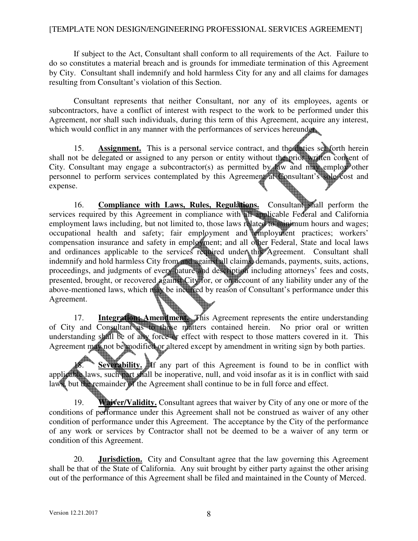If subject to the Act, Consultant shall conform to all requirements of the Act. Failure to do so constitutes a material breach and is grounds for immediate termination of this Agreement by City. Consultant shall indemnify and hold harmless City for any and all claims for damages resulting from Consultant's violation of this Section.

Consultant represents that neither Consultant, nor any of its employees, agents or subcontractors, have a conflict of interest with respect to the work to be performed under this Agreement, nor shall such individuals, during this term of this Agreement, acquire any interest, which would conflict in any manner with the performances of services hereunder.

15. **Assignment.** This is a personal service contract, and the duties set forth herein shall not be delegated or assigned to any person or entity without the prior written consent of City. Consultant may engage a subcontractor(s) as permitted by law and may employ other personnel to perform services contemplated by this Agreement at Consultant's sole cost and expense.

16. **Compliance with Laws, Rules, Regulations.** Consultant shall perform the services required by this Agreement in compliance with all applicable Federal and California employment laws including, but not limited to, those laws related to minimum hours and wages; occupational health and safety; fair employment and employment practices; workers' compensation insurance and safety in employment; and all other Federal, State and local laws and ordinances applicable to the services required under this Agreement. Consultant shall indemnify and hold harmless City from and against all claims, demands, payments, suits, actions, proceedings, and judgments of every nature and description including attorneys' fees and costs, presented, brought, or recovered against City for, or on account of any liability under any of the above-mentioned laws, which may be incurred by reason of Consultant's performance under this Agreement.

17. **Integration; Amendment.** This Agreement represents the entire understanding of City and Consultant as to those matters contained herein. No prior oral or written understanding shall be of any force or effect with respect to those matters covered in it. This Agreement may not be modified or altered except by amendment in writing sign by both parties.

**Severability.** If any part of this Agreement is found to be in conflict with applicable laws, such part shall be inoperative, null, and void insofar as it is in conflict with said laws, but the remainder of the Agreement shall continue to be in full force and effect.

19. **Waiver/Validity.** Consultant agrees that waiver by City of any one or more of the conditions of performance under this Agreement shall not be construed as waiver of any other condition of performance under this Agreement. The acceptance by the City of the performance of any work or services by Contractor shall not be deemed to be a waiver of any term or condition of this Agreement.

 20. **Jurisdiction.** City and Consultant agree that the law governing this Agreement shall be that of the State of California. Any suit brought by either party against the other arising out of the performance of this Agreement shall be filed and maintained in the County of Merced.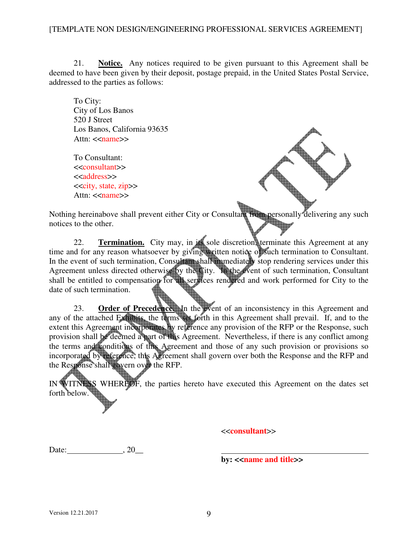21. **Notice.** Any notices required to be given pursuant to this Agreement shall be deemed to have been given by their deposit, postage prepaid, in the United States Postal Service, addressed to the parties as follows:

To City: City of Los Banos 520 J Street Los Banos, California 93635 Attn:  $\langle$ name $\rangle$ 

 To Consultant: <<consultant>> <<address>> <<city, state, zip>> Attn: <<name>>



Nothing hereinabove shall prevent either City or Consultant from personally delivering any such notices to the other.

 22. **Termination.** City may, in its sole discretion, terminate this Agreement at any time and for any reason whatsoever by giving written notice of such termination to Consultant. In the event of such termination, Consultant shall immediately stop rendering services under this Agreement unless directed otherwise by the City. In the event of such termination, Consultant shall be entitled to compensation for all services rendered and work performed for City to the date of such termination.

23. **Order of Precedence.** In the event of an inconsistency in this Agreement and any of the attached Exhibits, the terms set forth in this Agreement shall prevail. If, and to the extent this Agreement incorporates by reference any provision of the RFP or the Response, such provision shall be deemed a part of this Agreement. Nevertheless, if there is any conflict among the terms and conditions of this Agreement and those of any such provision or provisions so incorporated by reference, this Agreement shall govern over both the Response and the RFP and the Response shall govern over the RFP.

IN WITNESS WHEREOF, the parties hereto have executed this Agreement on the dates set forth below.

<<**consultant**>>

Date:  $, 20$ 

**by:** << **name and title**>>